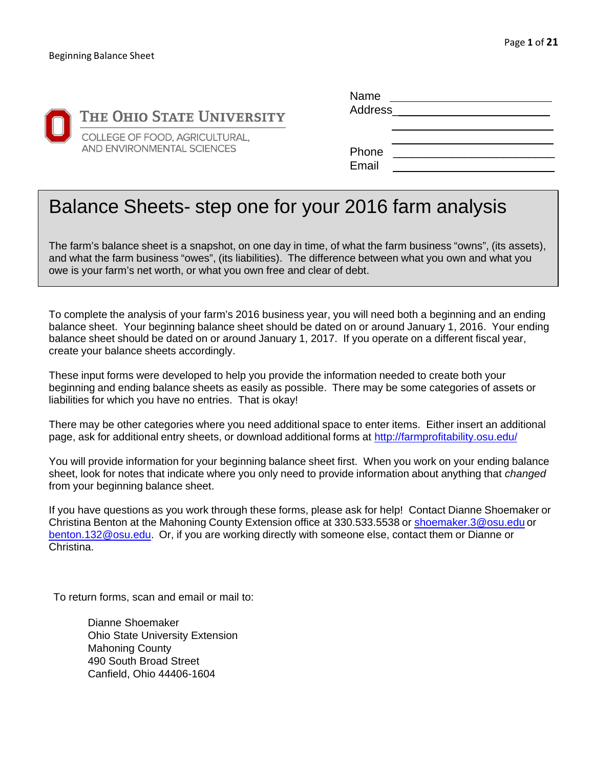

| Name           |  |
|----------------|--|
| Address        |  |
|                |  |
|                |  |
| Phone<br>Email |  |

# Balance Sheets- step one for your 2016 farm analysis

The farm's balance sheet is a snapshot, on one day in time, of what the farm business "owns", (its assets), and what the farm business "owes", (its liabilities). The difference between what you own and what you owe is your farm's net worth, or what you own free and clear of debt.

To complete the analysis of your farm's 2016 business year, you will need both a beginning and an ending balance sheet. Your beginning balance sheet should be dated on or around January 1, 2016. Your ending balance sheet should be dated on or around January 1, 2017. If you operate on a different fiscal year, create your balance sheets accordingly.

These input forms were developed to help you provide the information needed to create both your beginning and ending balance sheets as easily as possible. There may be some categories of assets or liabilities for which you have no entries. That is okay!

There may be other categories where you need additional space to enter items. Either insert an additional page, ask for additional entry sheets, or download additional forms at http://farmprofitability.osu.edu/

You will provide information for your beginning balance sheet first. When you work on your ending balance sheet, look for notes that indicate where you only need to provide information about anything that *changed*  from your beginning balance sheet.

If you have questions as you work through these forms, please ask for help! Contact Dianne Shoemaker or Christina Benton at the Mahoning County Extension office at 330.533.5538 or shoemaker.3@osu.edu or benton.132@osu.edu. Or, if you are working directly with someone else, contact them or Dianne or Christina.

To return forms, scan and email or mail to:

Dianne Shoemaker Ohio State University Extension Mahoning County 490 South Broad Street Canfield, Ohio 44406-1604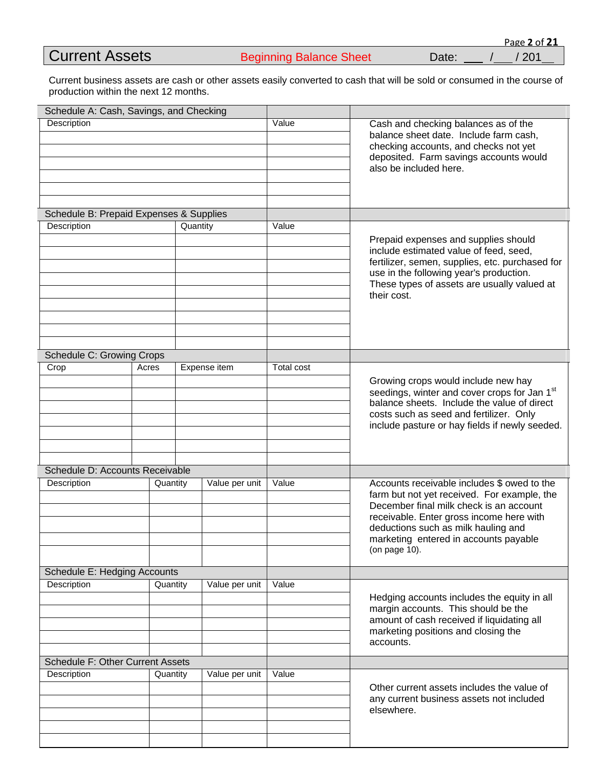|  | <b>Current Assets</b> |
|--|-----------------------|

Current business assets are cash or other assets easily converted to cash that will be sold or consumed in the course of production within the next 12 months.

| Schedule A: Cash, Savings, and Checking |          |                |                                                                                                                                                                                             |                                                                                                                                                                                                                                                                                    |
|-----------------------------------------|----------|----------------|---------------------------------------------------------------------------------------------------------------------------------------------------------------------------------------------|------------------------------------------------------------------------------------------------------------------------------------------------------------------------------------------------------------------------------------------------------------------------------------|
| Description                             |          | Value          | Cash and checking balances as of the<br>balance sheet date. Include farm cash,<br>checking accounts, and checks not yet<br>deposited. Farm savings accounts would<br>also be included here. |                                                                                                                                                                                                                                                                                    |
| Schedule B: Prepaid Expenses & Supplies |          |                |                                                                                                                                                                                             |                                                                                                                                                                                                                                                                                    |
| Description                             |          | Quantity       | Value                                                                                                                                                                                       | Prepaid expenses and supplies should<br>include estimated value of feed, seed,<br>fertilizer, semen, supplies, etc. purchased for<br>use in the following year's production.<br>These types of assets are usually valued at<br>their cost.                                         |
| <b>Schedule C: Growing Crops</b>        |          |                |                                                                                                                                                                                             |                                                                                                                                                                                                                                                                                    |
| Crop                                    | Acres    | Expense item   | <b>Total cost</b>                                                                                                                                                                           | Growing crops would include new hay<br>seedings, winter and cover crops for Jan 1st<br>balance sheets. Include the value of direct<br>costs such as seed and fertilizer. Only<br>include pasture or hay fields if newly seeded.                                                    |
| Schedule D: Accounts Receivable         |          |                |                                                                                                                                                                                             |                                                                                                                                                                                                                                                                                    |
| Description                             | Quantity | Value per unit | Value                                                                                                                                                                                       | Accounts receivable includes \$ owed to the<br>farm but not yet received. For example, the<br>December final milk check is an account<br>receivable. Enter gross income here with<br>deductions such as milk hauling and<br>marketing entered in accounts payable<br>(on page 10). |
| Schedule E: Hedging Accounts            |          |                |                                                                                                                                                                                             |                                                                                                                                                                                                                                                                                    |
| Description                             | Quantity | Value per unit | Value                                                                                                                                                                                       | Hedging accounts includes the equity in all<br>margin accounts. This should be the<br>amount of cash received if liquidating all<br>marketing positions and closing the<br>accounts.                                                                                               |
| <b>Schedule F: Other Current Assets</b> |          |                |                                                                                                                                                                                             |                                                                                                                                                                                                                                                                                    |
| Description                             | Quantity | Value per unit | Value                                                                                                                                                                                       | Other current assets includes the value of<br>any current business assets not included<br>elsewhere.                                                                                                                                                                               |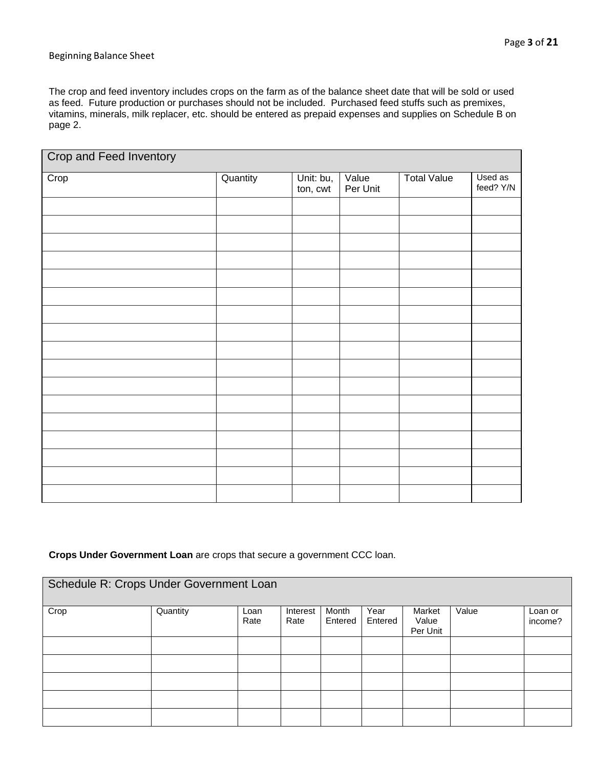#### Beginning Balance Sheet

The crop and feed inventory includes crops on the farm as of the balance sheet date that will be sold or used as feed. Future production or purchases should not be included. Purchased feed stuffs such as premixes, vitamins, minerals, milk replacer, etc. should be entered as prepaid expenses and supplies on Schedule B on page 2.

| <b>Crop and Feed Inventory</b> |          |                       |                   |                    |                      |  |
|--------------------------------|----------|-----------------------|-------------------|--------------------|----------------------|--|
| Crop                           | Quantity | Unit: bu,<br>ton, cwt | Value<br>Per Unit | <b>Total Value</b> | Used as<br>feed? Y/N |  |
|                                |          |                       |                   |                    |                      |  |
|                                |          |                       |                   |                    |                      |  |
|                                |          |                       |                   |                    |                      |  |
|                                |          |                       |                   |                    |                      |  |
|                                |          |                       |                   |                    |                      |  |
|                                |          |                       |                   |                    |                      |  |
|                                |          |                       |                   |                    |                      |  |
|                                |          |                       |                   |                    |                      |  |
|                                |          |                       |                   |                    |                      |  |
|                                |          |                       |                   |                    |                      |  |
|                                |          |                       |                   |                    |                      |  |
|                                |          |                       |                   |                    |                      |  |
|                                |          |                       |                   |                    |                      |  |
|                                |          |                       |                   |                    |                      |  |
|                                |          |                       |                   |                    |                      |  |
|                                |          |                       |                   |                    |                      |  |

#### **Crops Under Government Loan** are crops that secure a government CCC loan.

| Schedule R: Crops Under Government Loan |          |      |          |         |         |                   |       |         |
|-----------------------------------------|----------|------|----------|---------|---------|-------------------|-------|---------|
| Crop                                    | Quantity | Loan | Interest | Month   | Year    | Market            | Value | Loan or |
|                                         |          | Rate | Rate     | Entered | Entered | Value<br>Per Unit |       | income? |
|                                         |          |      |          |         |         |                   |       |         |
|                                         |          |      |          |         |         |                   |       |         |
|                                         |          |      |          |         |         |                   |       |         |
|                                         |          |      |          |         |         |                   |       |         |
|                                         |          |      |          |         |         |                   |       |         |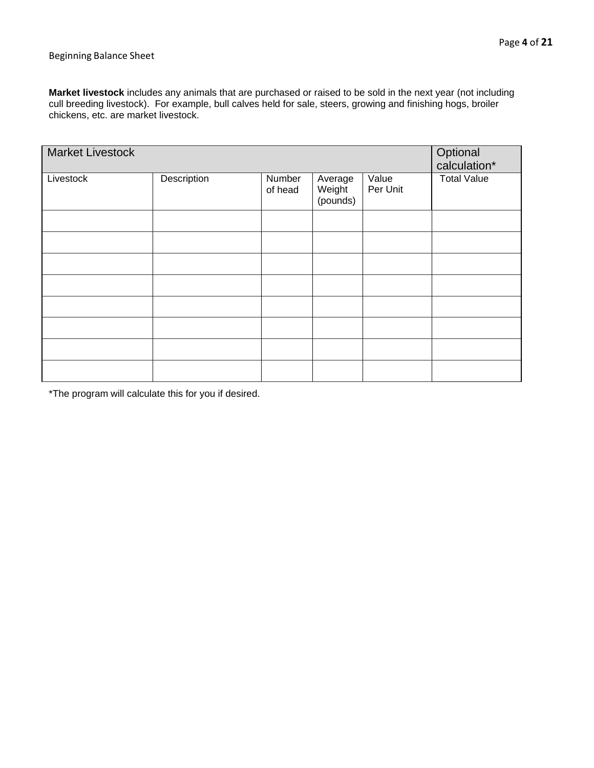#### Beginning Balance Sheet

**Market livestock** includes any animals that are purchased or raised to be sold in the next year (not including cull breeding livestock). For example, bull calves held for sale, steers, growing and finishing hogs, broiler chickens, etc. are market livestock.

| <b>Market Livestock</b> |             |                   |                               |                   | Optional<br>calculation* |
|-------------------------|-------------|-------------------|-------------------------------|-------------------|--------------------------|
| Livestock               | Description | Number<br>of head | Average<br>Weight<br>(pounds) | Value<br>Per Unit | <b>Total Value</b>       |
|                         |             |                   |                               |                   |                          |
|                         |             |                   |                               |                   |                          |
|                         |             |                   |                               |                   |                          |
|                         |             |                   |                               |                   |                          |
|                         |             |                   |                               |                   |                          |
|                         |             |                   |                               |                   |                          |
|                         |             |                   |                               |                   |                          |
|                         |             |                   |                               |                   |                          |

\*The program will calculate this for you if desired.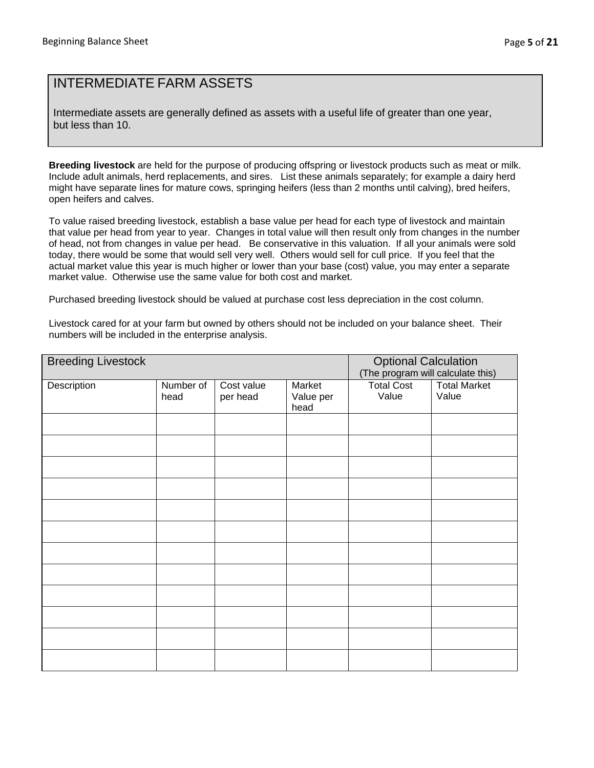### INTERMEDIATE FARM ASSETS

Intermediate assets are generally defined as assets with a useful life of greater than one year, but less than 10.

**Breeding livestock** are held for the purpose of producing offspring or livestock products such as meat or milk. Include adult animals, herd replacements, and sires. List these animals separately; for example a dairy herd might have separate lines for mature cows, springing heifers (less than 2 months until calving), bred heifers, open heifers and calves.

To value raised breeding livestock, establish a base value per head for each type of livestock and maintain that value per head from year to year. Changes in total value will then result only from changes in the number of head, not from changes in value per head. Be conservative in this valuation. If all your animals were sold today, there would be some that would sell very well. Others would sell for cull price. If you feel that the actual market value this year is much higher or lower than your base (cost) value, you may enter a separate market value. Otherwise use the same value for both cost and market.

Purchased breeding livestock should be valued at purchase cost less depreciation in the cost column.

Livestock cared for at your farm but owned by others should not be included on your balance sheet. Their numbers will be included in the enterprise analysis.

| <b>Breeding Livestock</b> |           |            |           | <b>Optional Calculation</b><br>(The program will calculate this) |                     |
|---------------------------|-----------|------------|-----------|------------------------------------------------------------------|---------------------|
|                           |           |            |           |                                                                  |                     |
| Description               | Number of | Cost value | Market    | <b>Total Cost</b>                                                | <b>Total Market</b> |
|                           | head      | per head   | Value per | Value                                                            | Value               |
|                           |           |            | head      |                                                                  |                     |
|                           |           |            |           |                                                                  |                     |
|                           |           |            |           |                                                                  |                     |
|                           |           |            |           |                                                                  |                     |
|                           |           |            |           |                                                                  |                     |
|                           |           |            |           |                                                                  |                     |
|                           |           |            |           |                                                                  |                     |
|                           |           |            |           |                                                                  |                     |
|                           |           |            |           |                                                                  |                     |
|                           |           |            |           |                                                                  |                     |
|                           |           |            |           |                                                                  |                     |
|                           |           |            |           |                                                                  |                     |
|                           |           |            |           |                                                                  |                     |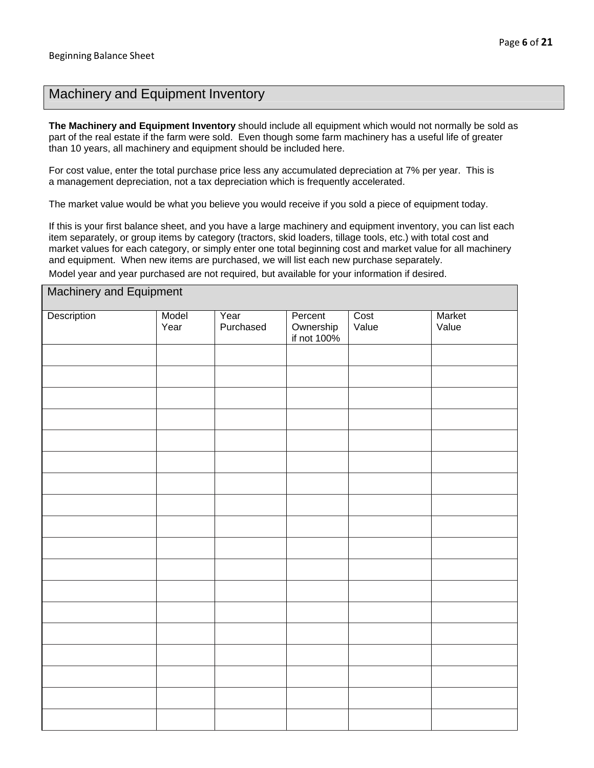## Machinery and Equipment Inventory

**The Machinery and Equipment Inventory** should include all equipment which would not normally be sold as part of the real estate if the farm were sold. Even though some farm machinery has a useful life of greater than 10 years, all machinery and equipment should be included here.

For cost value, enter the total purchase price less any accumulated depreciation at 7% per year. This is a management depreciation, not a tax depreciation which is frequently accelerated.

The market value would be what you believe you would receive if you sold a piece of equipment today.

If this is your first balance sheet, and you have a large machinery and equipment inventory, you can list each item separately, or group items by category (tractors, skid loaders, tillage tools, etc.) with total cost and market values for each category, or simply enter one total beginning cost and market value for all machinery and equipment. When new items are purchased, we will list each new purchase separately.

Model year and year purchased are not required, but available for your information if desired.

| Machinery and Equipment |               |                   |                                     |               |                 |  |  |
|-------------------------|---------------|-------------------|-------------------------------------|---------------|-----------------|--|--|
| Description             | Model<br>Year | Year<br>Purchased | Percent<br>Ownership<br>if not 100% | Cost<br>Value | Market<br>Value |  |  |
|                         |               |                   |                                     |               |                 |  |  |
|                         |               |                   |                                     |               |                 |  |  |
|                         |               |                   |                                     |               |                 |  |  |
|                         |               |                   |                                     |               |                 |  |  |
|                         |               |                   |                                     |               |                 |  |  |
|                         |               |                   |                                     |               |                 |  |  |
|                         |               |                   |                                     |               |                 |  |  |
|                         |               |                   |                                     |               |                 |  |  |
|                         |               |                   |                                     |               |                 |  |  |
|                         |               |                   |                                     |               |                 |  |  |
|                         |               |                   |                                     |               |                 |  |  |
|                         |               |                   |                                     |               |                 |  |  |
|                         |               |                   |                                     |               |                 |  |  |
|                         |               |                   |                                     |               |                 |  |  |
|                         |               |                   |                                     |               |                 |  |  |
|                         |               |                   |                                     |               |                 |  |  |
|                         |               |                   |                                     |               |                 |  |  |
|                         |               |                   |                                     |               |                 |  |  |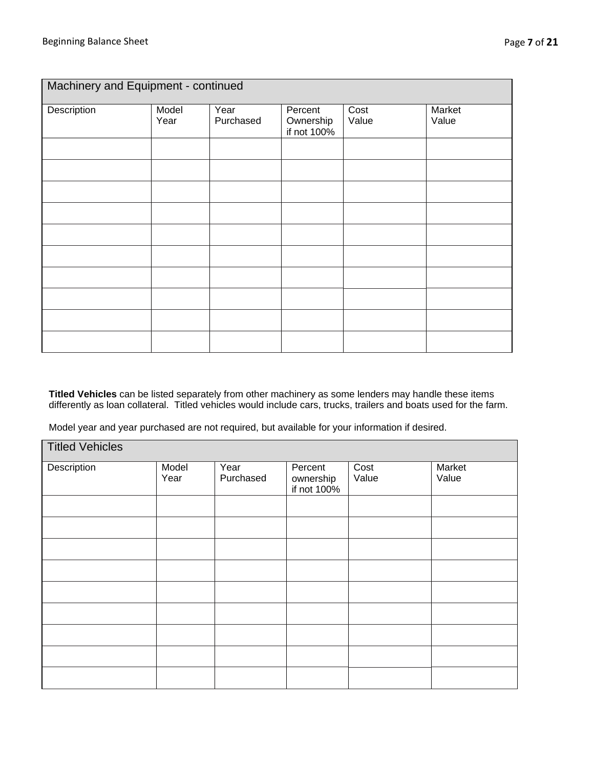| Machinery and Equipment - continued |               |                   |                                     |               |                 |  |
|-------------------------------------|---------------|-------------------|-------------------------------------|---------------|-----------------|--|
| Description                         | Model<br>Year | Year<br>Purchased | Percent<br>Ownership<br>if not 100% | Cost<br>Value | Market<br>Value |  |
|                                     |               |                   |                                     |               |                 |  |
|                                     |               |                   |                                     |               |                 |  |
|                                     |               |                   |                                     |               |                 |  |
|                                     |               |                   |                                     |               |                 |  |
|                                     |               |                   |                                     |               |                 |  |
|                                     |               |                   |                                     |               |                 |  |
|                                     |               |                   |                                     |               |                 |  |
|                                     |               |                   |                                     |               |                 |  |
|                                     |               |                   |                                     |               |                 |  |
|                                     |               |                   |                                     |               |                 |  |

**Titled Vehicles** can be listed separately from other machinery as some lenders may handle these items differently as loan collateral. Titled vehicles would include cars, trucks, trailers and boats used for the farm.

Model year and year purchased are not required, but available for your information if desired.

| <b>Titled Vehicles</b> |               |                   |                                     |               |                 |
|------------------------|---------------|-------------------|-------------------------------------|---------------|-----------------|
| Description            | Model<br>Year | Year<br>Purchased | Percent<br>ownership<br>if not 100% | Cost<br>Value | Market<br>Value |
|                        |               |                   |                                     |               |                 |
|                        |               |                   |                                     |               |                 |
|                        |               |                   |                                     |               |                 |
|                        |               |                   |                                     |               |                 |
|                        |               |                   |                                     |               |                 |
|                        |               |                   |                                     |               |                 |
|                        |               |                   |                                     |               |                 |
|                        |               |                   |                                     |               |                 |
|                        |               |                   |                                     |               |                 |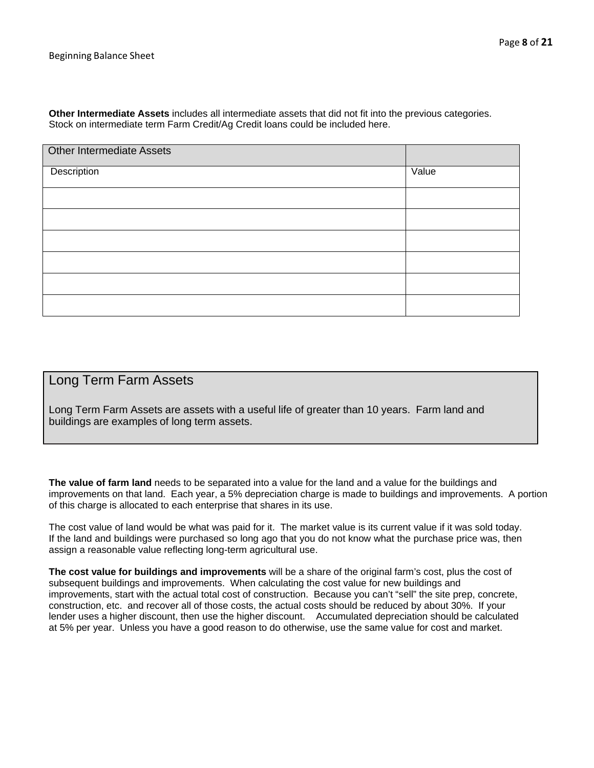**Other Intermediate Assets** includes all intermediate assets that did not fit into the previous categories. Stock on intermediate term Farm Credit/Ag Credit loans could be included here.

| Other Intermediate Assets |       |
|---------------------------|-------|
| Description               | Value |
|                           |       |
|                           |       |
|                           |       |
|                           |       |
|                           |       |
|                           |       |

### Long Term Farm Assets

Long Term Farm Assets are assets with a useful life of greater than 10 years. Farm land and buildings are examples of long term assets.

**The value of farm land** needs to be separated into a value for the land and a value for the buildings and improvements on that land. Each year, a 5% depreciation charge is made to buildings and improvements. A portion of this charge is allocated to each enterprise that shares in its use.

The cost value of land would be what was paid for it. The market value is its current value if it was sold today. If the land and buildings were purchased so long ago that you do not know what the purchase price was, then assign a reasonable value reflecting long-term agricultural use.

**The cost value for buildings and improvements** will be a share of the original farm's cost, plus the cost of subsequent buildings and improvements. When calculating the cost value for new buildings and improvements, start with the actual total cost of construction. Because you can't "sell" the site prep, concrete, construction, etc. and recover all of those costs, the actual costs should be reduced by about 30%. If your lender uses a higher discount, then use the higher discount. Accumulated depreciation should be calculated at 5% per year. Unless you have a good reason to do otherwise, use the same value for cost and market.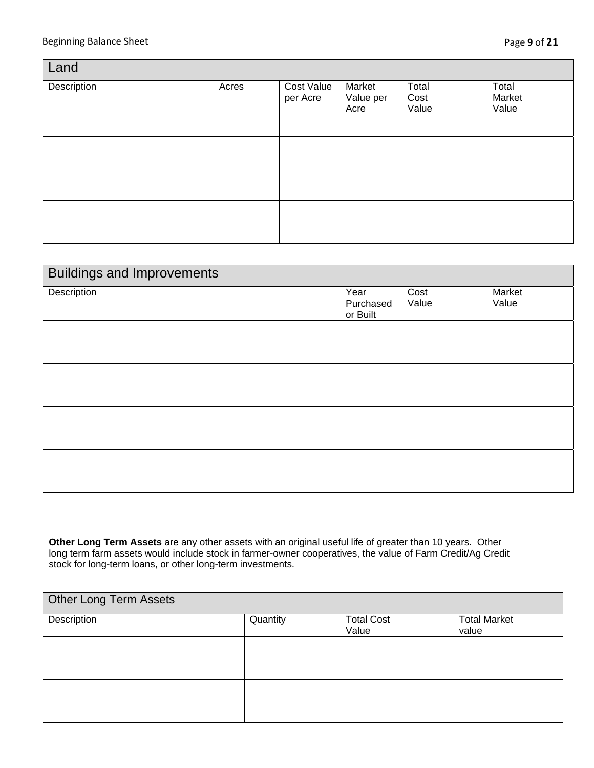| Land        |       |                        |                             |                        |                          |  |  |
|-------------|-------|------------------------|-----------------------------|------------------------|--------------------------|--|--|
| Description | Acres | Cost Value<br>per Acre | Market<br>Value per<br>Acre | Total<br>Cost<br>Value | Total<br>Market<br>Value |  |  |
|             |       |                        |                             |                        |                          |  |  |
|             |       |                        |                             |                        |                          |  |  |
|             |       |                        |                             |                        |                          |  |  |
|             |       |                        |                             |                        |                          |  |  |
|             |       |                        |                             |                        |                          |  |  |
|             |       |                        |                             |                        |                          |  |  |

| <b>Buildings and Improvements</b> |                               |               |                 |  |  |
|-----------------------------------|-------------------------------|---------------|-----------------|--|--|
| Description                       | Year<br>Purchased<br>or Built | Cost<br>Value | Market<br>Value |  |  |
|                                   |                               |               |                 |  |  |
|                                   |                               |               |                 |  |  |
|                                   |                               |               |                 |  |  |
|                                   |                               |               |                 |  |  |
|                                   |                               |               |                 |  |  |
|                                   |                               |               |                 |  |  |
|                                   |                               |               |                 |  |  |
|                                   |                               |               |                 |  |  |

**Other Long Term Assets** are any other assets with an original useful life of greater than 10 years. Other long term farm assets would include stock in farmer-owner cooperatives, the value of Farm Credit/Ag Credit stock for long-term loans, or other long-term investments.

| <b>Other Long Term Assets</b> |          |                            |                              |  |  |  |
|-------------------------------|----------|----------------------------|------------------------------|--|--|--|
| Description                   | Quantity | <b>Total Cost</b><br>Value | <b>Total Market</b><br>value |  |  |  |
|                               |          |                            |                              |  |  |  |
|                               |          |                            |                              |  |  |  |
|                               |          |                            |                              |  |  |  |
|                               |          |                            |                              |  |  |  |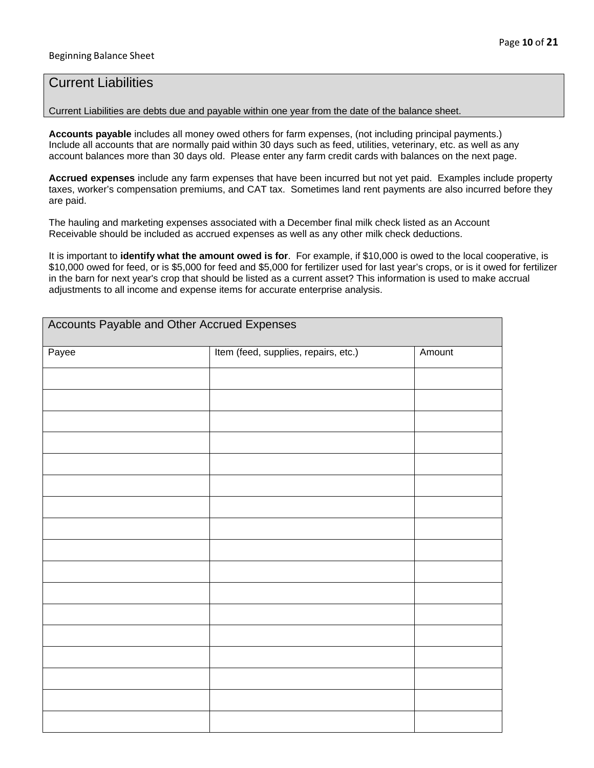### Current Liabilities

Current Liabilities are debts due and payable within one year from the date of the balance sheet.

**Accounts payable** includes all money owed others for farm expenses, (not including principal payments.) Include all accounts that are normally paid within 30 days such as feed, utilities, veterinary, etc. as well as any account balances more than 30 days old. Please enter any farm credit cards with balances on the next page.

**Accrued expenses** include any farm expenses that have been incurred but not yet paid. Examples include property taxes, worker's compensation premiums, and CAT tax. Sometimes land rent payments are also incurred before they are paid.

The hauling and marketing expenses associated with a December final milk check listed as an Account Receivable should be included as accrued expenses as well as any other milk check deductions.

It is important to **identify what the amount owed is for**. For example, if \$10,000 is owed to the local cooperative, is \$10,000 owed for feed, or is \$5,000 for feed and \$5,000 for fertilizer used for last year's crops, or is it owed for fertilizer in the barn for next year's crop that should be listed as a current asset? This information is used to make accrual adjustments to all income and expense items for accurate enterprise analysis.

| Accounts Payable and Other Accrued Expenses |                                      |        |  |  |  |  |
|---------------------------------------------|--------------------------------------|--------|--|--|--|--|
| Payee                                       | Item (feed, supplies, repairs, etc.) | Amount |  |  |  |  |
|                                             |                                      |        |  |  |  |  |
|                                             |                                      |        |  |  |  |  |
|                                             |                                      |        |  |  |  |  |
|                                             |                                      |        |  |  |  |  |
|                                             |                                      |        |  |  |  |  |
|                                             |                                      |        |  |  |  |  |
|                                             |                                      |        |  |  |  |  |
|                                             |                                      |        |  |  |  |  |
|                                             |                                      |        |  |  |  |  |
|                                             |                                      |        |  |  |  |  |
|                                             |                                      |        |  |  |  |  |
|                                             |                                      |        |  |  |  |  |
|                                             |                                      |        |  |  |  |  |
|                                             |                                      |        |  |  |  |  |
|                                             |                                      |        |  |  |  |  |
|                                             |                                      |        |  |  |  |  |
|                                             |                                      |        |  |  |  |  |
|                                             |                                      |        |  |  |  |  |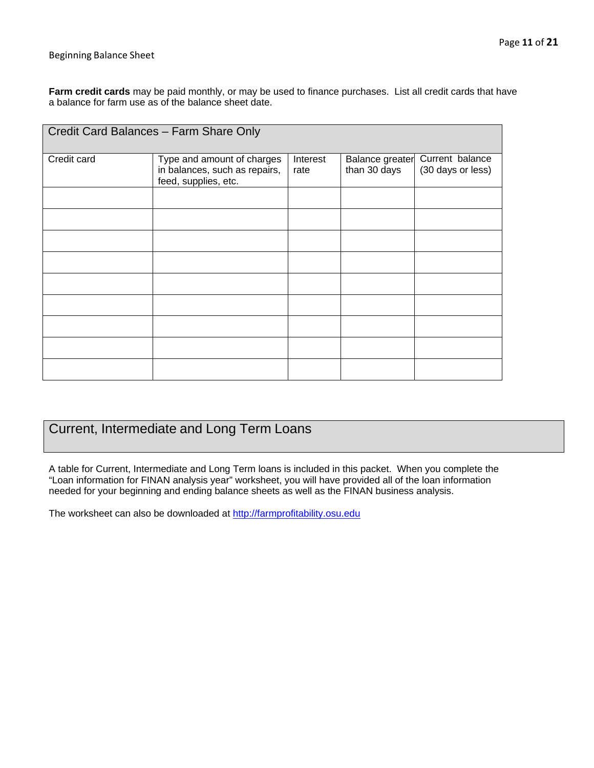#### Beginning Balance Sheet

**Farm credit cards** may be paid monthly, or may be used to finance purchases. List all credit cards that have a balance for farm use as of the balance sheet date.

| Credit Card Balances - Farm Share Only |                                                                                     |                                                     |  |                                      |  |  |  |
|----------------------------------------|-------------------------------------------------------------------------------------|-----------------------------------------------------|--|--------------------------------------|--|--|--|
| Credit card                            | Type and amount of charges<br>in balances, such as repairs,<br>feed, supplies, etc. | Interest<br>Balance greater<br>than 30 days<br>rate |  | Current balance<br>(30 days or less) |  |  |  |
|                                        |                                                                                     |                                                     |  |                                      |  |  |  |
|                                        |                                                                                     |                                                     |  |                                      |  |  |  |
|                                        |                                                                                     |                                                     |  |                                      |  |  |  |
|                                        |                                                                                     |                                                     |  |                                      |  |  |  |
|                                        |                                                                                     |                                                     |  |                                      |  |  |  |
|                                        |                                                                                     |                                                     |  |                                      |  |  |  |
|                                        |                                                                                     |                                                     |  |                                      |  |  |  |
|                                        |                                                                                     |                                                     |  |                                      |  |  |  |
|                                        |                                                                                     |                                                     |  |                                      |  |  |  |

# Current, Intermediate and Long Term Loans

A table for Current, Intermediate and Long Term loans is included in this packet. When you complete the "Loan information for FINAN analysis year" worksheet, you will have provided all of the loan information needed for your beginning and ending balance sheets as well as the FINAN business analysis.

The worksheet can also be downloaded at http://farmprofitability.osu.edu